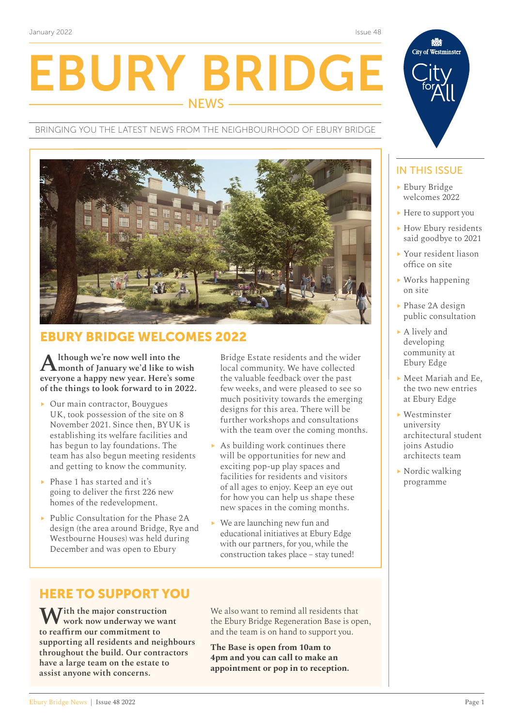EBURY BRIDGE NEWS

BRINGING YOU THE LATEST NEWS FROM THE NEIGHBOURHOOD OF EBURY BRIDGE

## EBURY BRIDGE WELCOMES 2022

**Although we're now well into the month of January we'd like to wish everyone a happy new year. Here's some of the things to look forward to in 2022.** 

- $\triangleright$  Our main contractor, Bouygues UK, took possession of the site on 8 November 2021. Since then, BYUK is establishing its welfare facilities and has begun to lay foundations. The team has also begun meeting residents and getting to know the community.
- $\triangleright$  Phase 1 has started and it's going to deliver the first 226 new homes of the redevelopment.
- ▶ Public Consultation for the Phase 2A design (the area around Bridge, Rye and Westbourne Houses) was held during December and was open to Ebury

Bridge Estate residents and the wider local community. We have collected the valuable feedback over the past few weeks, and were pleased to see so much positivity towards the emerging designs for this area. There will be further workshops and consultations with the team over the coming months.

- $\triangleright$  As building work continues there will be opportunities for new and exciting pop-up play spaces and facilities for residents and visitors of all ages to enjoy. Keep an eye out for how you can help us shape these new spaces in the coming months.
- $\triangleright$  We are launching new fun and educational initiatives at Ebury Edge with our partners, for you, while the construction takes place – stay tuned!

## HERE TO SUPPORT YOU

With the major construction **work now underway we want to reaffirm our commitment to supporting all residents and neighbours throughout the build. Our contractors have a large team on the estate to assist anyone with concerns.**

We also want to remind all residents that the Ebury Bridge Regeneration Base is open, and the team is on hand to support you.

**The Base is open from 10am to 4pm and you can call to make an appointment or pop in to reception.**

#### IN THIS ISSUE

- **Ebury Bridge** welcomes 2022
- $\blacktriangleright$  Here to support you
- ▶ How Ebury residents said goodbye to 2021
- ▶ Your resident liason office on site
- $\triangleright$  Works happening on site
- ▶ Phase 2A design public consultation
- ▶ A lively and developing community at Ebury Edge
- ▶ Meet Mariah and Ee, the two new entries at Ebury Edge
- $\blacktriangleright$  Westminster university architectural student joins Astudio architects team
- $\triangleright$  Nordic walking programme



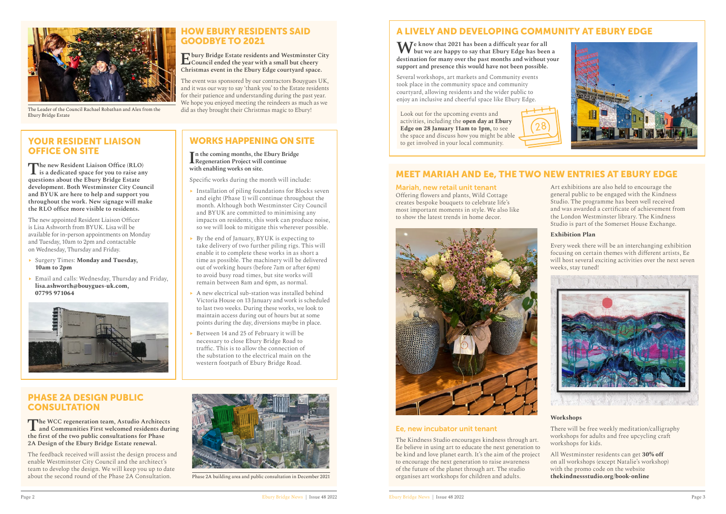## A LIVELY AND DEVELOPING COMMUNITY AT EBURY EDGE

**We know that 2021 has been a difficult year for all but we are happy to say that Ebury Edge has been a destination for many over the past months and without your support and presence this would have not been possible.** 

Several workshops, art markets and Community events took place in the community space and community courtyard, allowing residents and the wider public to enjoy an inclusive and cheerful space like Ebury Edge.

Look out for the upcoming events and activities, including the **open day at Ebury Edge on 28 January 11am to 1pm,** to see the space and discuss how you might be able to get involved in your local community.

## MEET MARIAH AND Ee, THE TWO NEW ENTRIES AT EBURY EDGE

#### Mariah, new retail unit tenant

Offering flowers and plants, Wild Cottage creates bespoke bouquets to celebrate life's most important moments in style. We also like to show the latest trends in home decor.



#### Ee, new incubator unit tenant

## YOUR RESIDENT LIAISON OFFICE ON SITE

Art exhibitions are also held to encourage the general public to be engaged with the Kindness Studio. The programme has been well received and was awarded a certificate of achievement from the London Westminster library. The Kindness Studio is part of the Somerset House Exchange.

The Kindness Studio encourages kindness through art. Ee believe in using art to educate the next generation to be kind and love planet earth. It's the aim of the project to encourage the next generation to raise awareness of the future of the planet through art. The studio organises art workshops for children and adults. workshops for kids. All Westminster residents can get **30% off** on all workshops (except Natalie's workshop) with the promo code on the website **[thekindnessstudio.org/book-online](http://thekindnessstudio.org/book-online)**



#### **Exhibition Plan**

Every week there will be an interchanging exhibition focusing on certain themes with different artists, Ee will host several exciting activities over the next seven weeks, stay tuned!



#### **Workshops**

There will be free weekly meditation/calligraphy workshops for adults and free upcycling craft

- $\blacktriangleright$  Installation of piling foundations for Blocks seven and eight (Phase 1) will continue throughout the month. Although both Westminster City Council and BYUK are committed to minimising any impacts on residents, this work can produce noise, so we will look to mitigate this wherever possible.
- By the end of January, BYUK is expecting to take delivery of two further piling rigs. This will enable it to complete these works in as short a time as possible. The machinery will be delivered out of working hours (before 7am or after 6pm) to avoid busy road times, but site works will remain between 8am and 6pm, as normal.
- A new electrical sub-station was installed behind Victoria House on 13 January and work is scheduled to last two weeks. During these works, we look to maintain access during out of hours but at some points during the day, diversions maybe in place.
- Between 14 and 25 of February it will be necessary to close Ebury Bridge Road to traffic. This is to allow the connection of the substation to the electrical main on the western footpath of Ebury Bridge Road.

#### PHASE 2A DESIGN PUBLIC **CONSULTATION**

**The new Resident Liaison Office (RLO) is a dedicated space for you to raise any questions about the Ebury Bridge Estate development. Both Westminster City Council and BYUK are here to help and support you throughout the work. New signage will make the RLO office more visible to residents.**

The feedback received will assist the design process and enable Westminster City Council and the architect's team to develop the design. We will keep you up to date<br>about the second round of the Phase 2A Consultation.



Phase 2A building area and public consultation in December 2021

The new appointed Resident Liaison Officer is Lisa Ashworth from BYUK. Lisa will be available for in-person appointments on Monday and Tuesday, 10am to 2pm and contactable on Wednesday, Thursday and Friday.

- ֬ Surgery Times: **Monday and Tuesday, 10am to 2pm**
- Email and calls: Wednesday, Thursday and Friday, **[lisa.ashworth@bouygues-uk.com,](mailto:lisa.ashworth%40bouygues-uk.com?subject=) 07795 971064**



# 28

## HOW EBURY RESIDENTS SAID GOODBYE TO 2021

**Ebury Bridge Estate residents and Westminster City Council ended the year with a small but cheery Christmas event in the Ebury Edge courtyard space.** 

The event was sponsored by our contractors Bouygues UK, and it was our way to say 'thank you' to the Estate residents for their patience and understanding during the past year. We hope you enjoyed meeting the reindeers as much as we did as they brought their Christmas magic to Ebury!

## WORKS HAPPENING ON SITE

#### **I n the coming months, the Ebury Bridge Regeneration Project will continue with enabling works on site.**

Specific works during the month will include:

**The WCC regeneration team, Astudio Architects and Communities First welcomed residents during the first of the two public consultations for Phase 2A Design of the Ebury Bridge Estate renewal.**



The Leader of the Council Rachael Robathan and Alex from the Ebury Bridge Estate